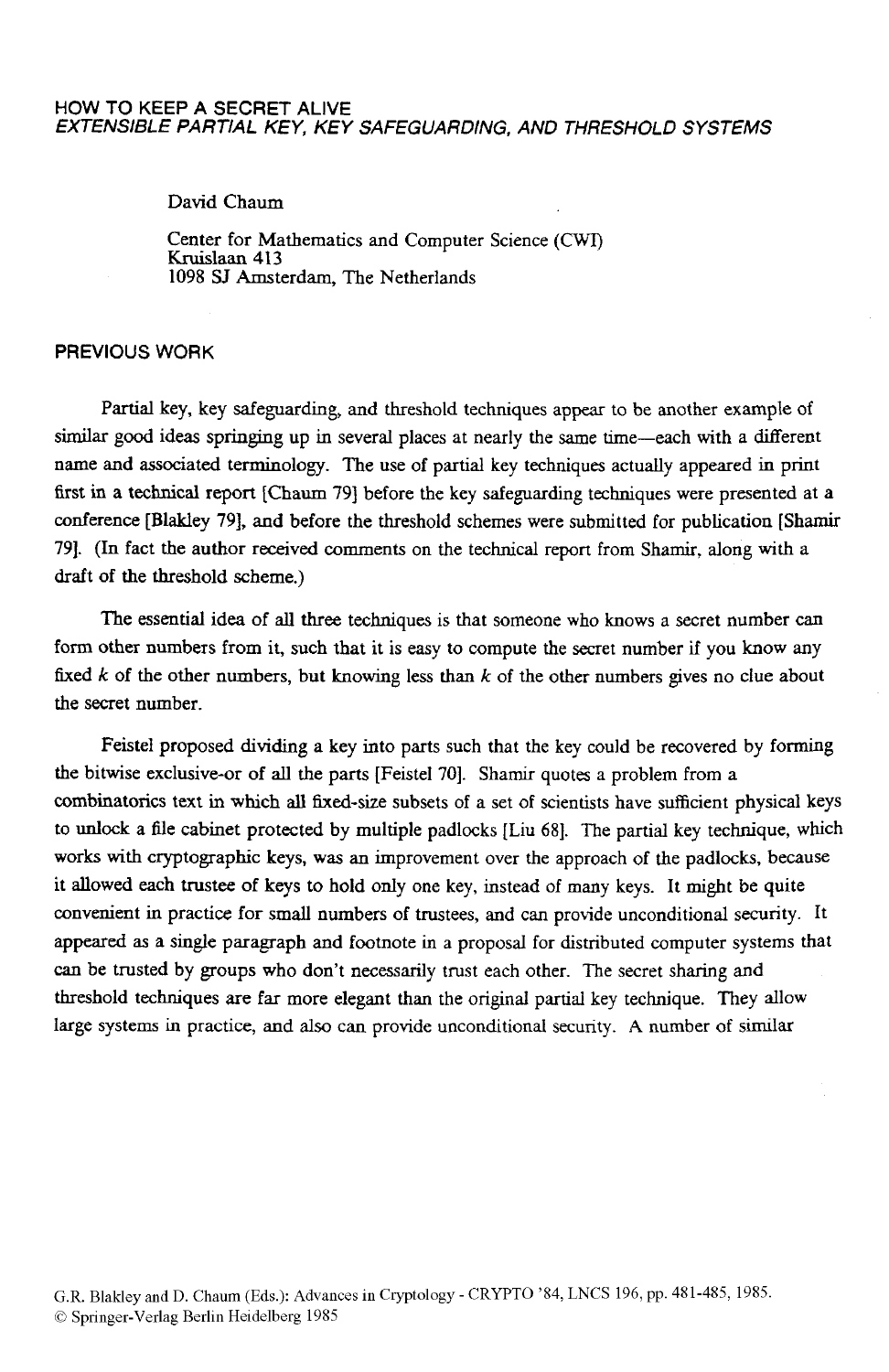### HOW TO KEEP **A SECRET ALIVE**  *EXTENSIBLE PARTIAL KEY, KEY SAFEGUARDING, AND THRESHOLD SYSTEMS*

David Cham

Center for Mathematics and Computer Science *(CWI)*  Kruislaan **413**  1098 SJ Amsterdam, The Netherlands

# **PREVIOUS** WORK

Partial key, key safeguarding, and threshold techniques **appear** to be another example of similar good ideas springing up in several places at nearly the same time-each with a different name and associated terminology. The use of partial key techniques actually appeared in print first **in** a technical **report** [Chaum **791** before the key safeguarding techniques were presented at a conference [Blakley **791,** and before the threshold schemes were submitted for publication **[Shamir 791. (In** fact the author received comments on the technical report from Shamir, along with a draft of the threshold scheme.)

The essential idea of all three techniques is that someone who knows a secret number can form other numbers from it, such that **it is** easy to compute the secret number if you know any fixed *k* of the other numbers, but knowing less than *k* of the other numbers gives no clue about the secret number.

Feistel proposed dividing a key into parts such that the key could be recovered by forming the bitwise exclusive-or of all the parts [Feistel 70]. Shamir quotes a problem from a combinatorics text in which all fixed-size subsets of a set of scientists have sufficient physical keys to unlock a file cabinet protected **by** multiple padlocks [Liu 681. The partial key technique, which works with cryptographic keys, **was** an improvement over the approach of the padlocks, because it allowed each trustee of keys to hold only one key, instead of many keys. It might be quite convenient in practice for small numbers of trustees, and can provide unconditional security. It appeared **as** a single paragraph and footnote in a proposal for distributed computer systems that *can* be trusted by groups who don't necessarily trust each other. The secret sharing and threshold techniques are far more elegant than the original partial key technique. They allow large systems in practice, and also can provide unconditional security. **A** number of **similar**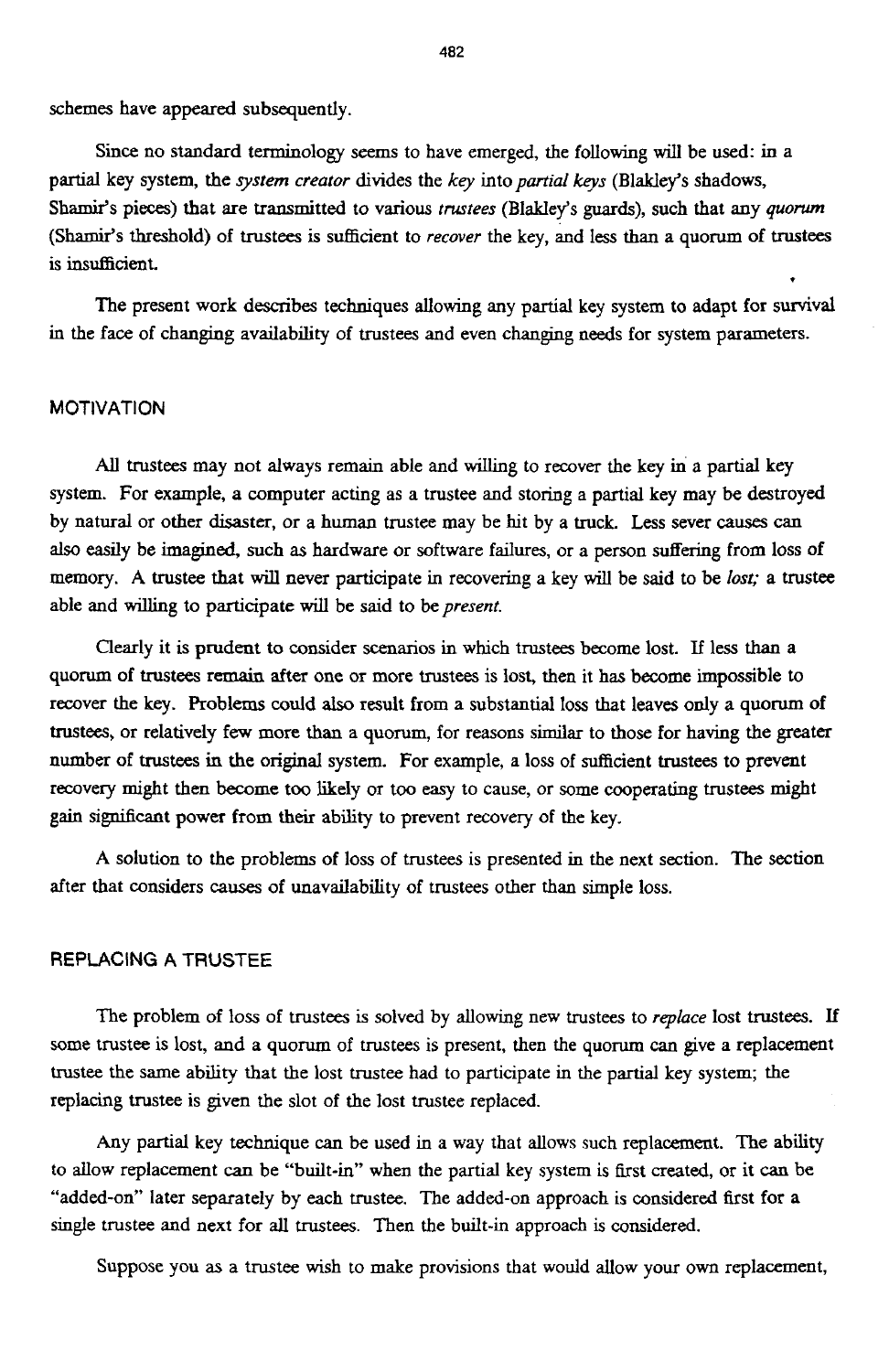schemes have appeared subsequently.

**Since** no standard terminology seems to have emerged, the following will be used: in a partial key system, the *qstern creuror* divides the *kq* into *purrid keys* (Blakley's shadows, **Shamir's** pieces) that are transmitted to various *trustees* (Blakley's *guards),* such that any *quorum*  (Shamir's threshold) of trustees is sufficient to *recover* the key, and less than a quorum of trustees is insufficient.

The present work describes techniques allowing any partial key system to adapt for survival **in** the face of changing availability of trustees and even changing **needs** for system parameters.

# **MOTIVATION**

All trustees may not always remain able and willing to recover the key in a partial key system. For example, a computer acting **as** a trustee and storing a partial key may be destroyed by natural or other disaster, or a human trustee may be hit by a truck. **Less** sever **causes** can also easily be imagined, such **as** hardware or software failures, or a person suffering from loss **of**  memory. **A** trustee that will never participate in recovering a key will be said to be *lost;* a trustee able and willing to participate will be said to be *present.* 

Clearly it **is** prudent to consider scenarios in which trustees become lost. If less than a quorum of trustees remain after one or more trustees is **lost,** then it has become impossible to recover the key. Problems could also result from a substantial loss that leaves **only** a **quorum of**  trustees, or relatively **few** more **than** a quorum, for reasons similar to those for having the greater number of trustees in the **original** system. For example, a loss of sufficient trustees to prevent recovery might then become too likely or too *easy* to cause, or some cooperating trustees **might gain** sipficant power from **their** ability to prevent recovery of the key.

**A** solution to the problems of **loss** of trustees is presented in the next section. The **section**  after that considers **causes** of unavailability of trustees other than simple loss.

# **REPLACING A** TRUSTEE

The problem of loss of trustees is solved by allowing new trustees to *replace* lost trustees. If some trustee **is** lost, **and** a quorum of trustees is present, then the quorum *can* give **a** replacement trustee the same ability that the lost trustee had to participate in the partial key system; the replacing trustee **is** given the **slot** of the lost trustee replaced.

Any partial key technique *can* be used in a way that **allows** such replacement. **The ability**  to allow replacement *can* be "built-in" when the partial key system is first created, or it *can* be "added-on" later separately by each trustee. The added-on approach **is** considered first for a single trustee and next for all trustees. Then the built-in approach is **considered.** 

Suppose you **as** a trustee wish to make provisions that would **allow** your own replacement,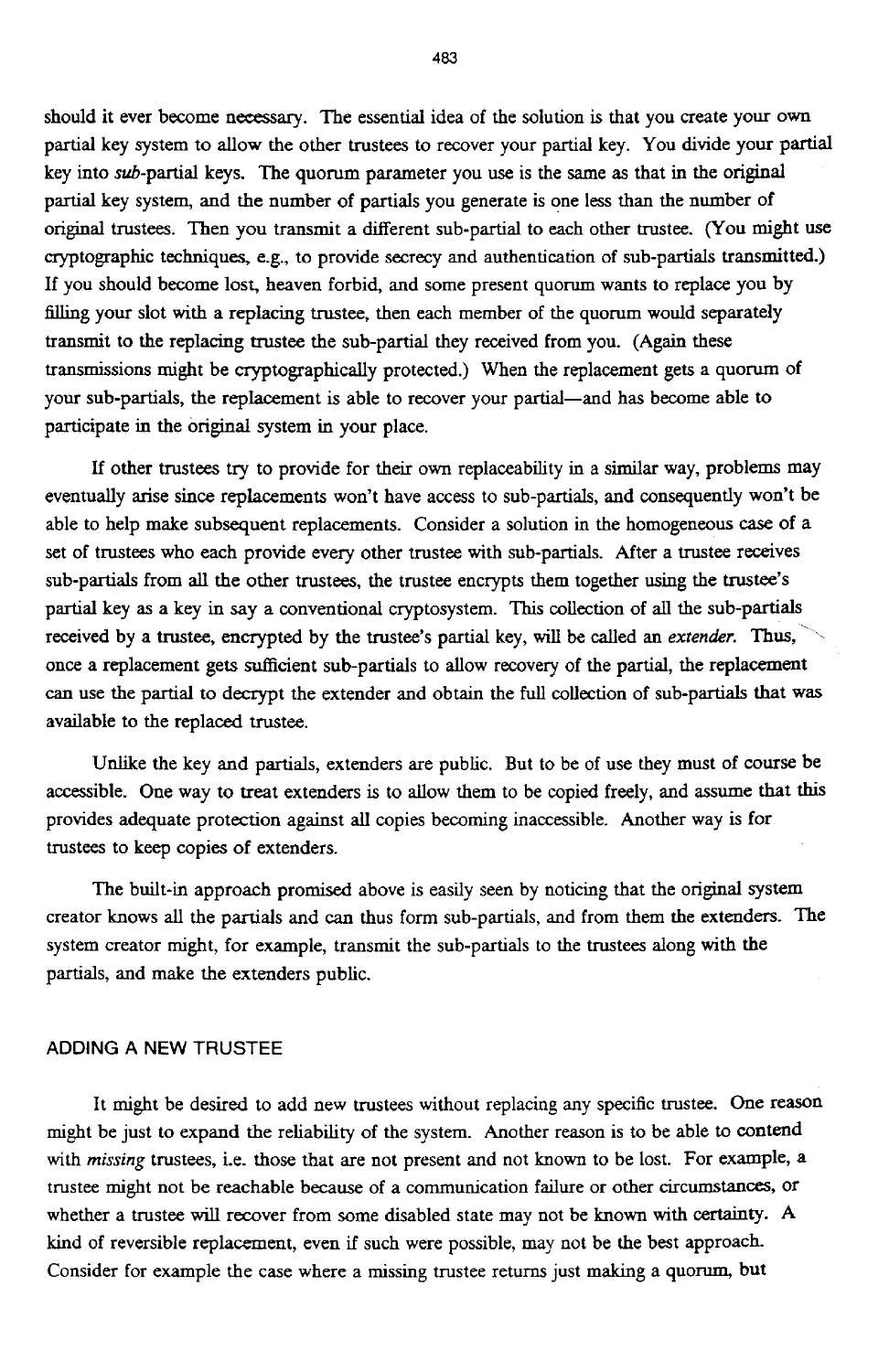should it ever become necessary. The essential idea of the solution is that you create your own partial key system to allow the other trustees to recover your partial key. You divide your partial key into sub-partial keys. The quorum parameter you use is the same **as** that in the original partial key system, and the number of partials you generate is one less than the number of original trustees. Then you transmit a different sub-partial to each other trustee. (You might use cryptographic techniques, **e.g.,** to provide secrecy and authentication of sub-partials transmitted.) **If** you should become lost., heaven forbid, and some present quorum wants to replace you by filling your slot with a replacing trustee, then each member of the quorum would separately transmit to the replacing trustee the sub-partial they received from you. **(Again** these transmissions might be cryptographically protected.) When the replacement gets a quorum of your sub-partials, the replacement is able to recover your partial-and has become able to participate in the original system in your place.

If other trustees **try** to provide for their own repiaceability in a **similar** way, problems may eventually arise since replacements won't have access to sub-partials, and consequently won't be able to help make subsequent replacements. Consider a solution in the homogeneous *case* of a set of trustees who each provide every other trustee with sub-partials. After a trustee receives sub-partials from all the other trustees, the trustee encrypts them together **using** the trustee's partial key **as** a key in say a conventional cryptosystem. **This** collection of all the sub-partids received by a trustee, encrypted by the trustee's partial key, will be called an *extender*. Thus, once a replacement gets sufficient sub-partials to allow recovery of the partial, the replacement *can* use the partial to decrypt the extender and obtain the full collection **of** sub-partials that **was**  available to the replaced trustee.

Unlike the key and partials, extenders are public. But to be of use they must **of** course be accessible. One way to treat extenders is to allow them to be copied freely, and assume that this provides adequate protection against all copies becoming inaccessible. Another way is for trustees to keep copies of extenders.

The built-in approach promised above is easily seen by noticing that the original system creator knows all the partials and *can* thus form sub-partials, and from them the extenders. The system creator might, for example, transmit the sub-partials to the trustees along with the partials, and make the extenders public.

#### **ADDING A NEW** TRUSTEE

It might be desired to add new trustees without replacing any specific trustee. One reason might be just to expand the reliability of the system. Another reason **is** to be able **to** contend with *missing* trustees, ie. **those** that are not present and not known to be lost. For example, a trustee might not be reachable because of a communication failure or other circumstances, or whether a trustee will recover from some disabled state may not be known with **Certainty. <sup>A</sup> kind** of reversible replacement, even if such were possible, may not be the best approach. Consider for example the case where a missing trustee returns just making a quorum, but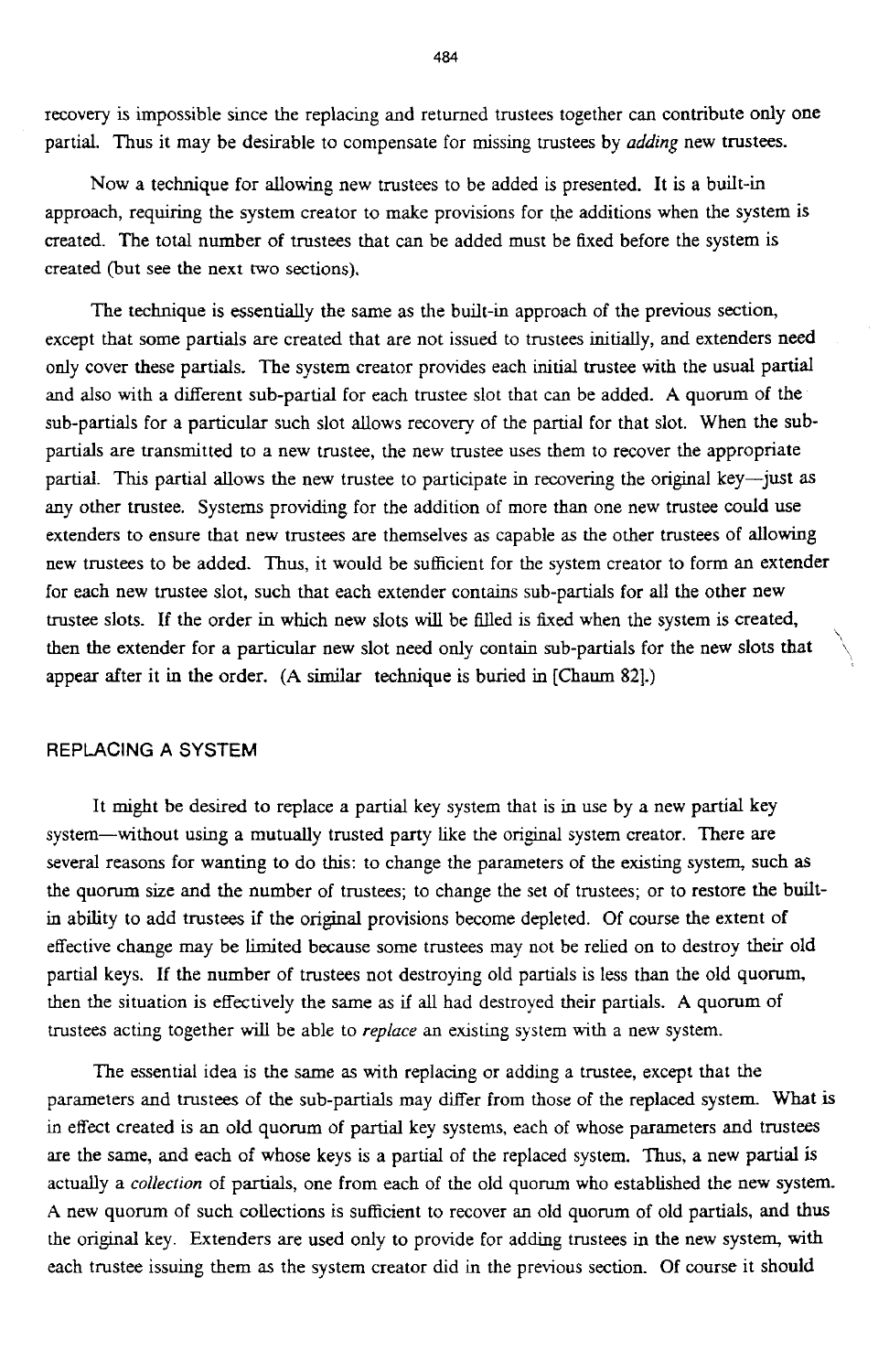recovery is impossible since the replacing and returned trustees together can contribute only one partial. Thus it may be desirable to compensate for missing trustees by *adding* new trustees.

Now a technique for allowing new trustees to be added is presented. It is a built-in approach, requiring the system creator to make provisions for the additions when the system is created. The total number of trustees that can be added must be fixed before the system is created (but see the next two sections).

The technique is essentially the same as the built-in approach of the previous section, except that some partials are created that are not issued to trustees initially, and extenders **need**  only cover these partials. The system creator provides each initial trustee with the usual partid and also with a different sub-partial for each trustee slot that can be added. **A** quorum of the sub-partials for a particular such slot allows recovery of the partial for that slot. When the subpartials are transmitted to a new trustee, the new trustee uses them to recover the appropriate partial. This partial allows the new trustee to participate in recovering the original key-just as any other trustee. Systems providing for the addition of more than one new trustee could use extenders to ensure that new trustees are themselves as capable as the other trustees of allowing new trustees to be added. Thus, it would be sufficient for the system creator to form an extender for each new trustee slot, such that each extender contains sub-partials for all the other new trustee slots. **If** the order in which new slots will be filled is fixed when the system is created, then the extender for a particular new slot need only contain sub-partials for the new slots that appear after it **in** the order. **(A** similar technique is buried in [Cham 821.) ',

 $\diagdown$ 

## REPLACING **A SYSTEM**

It might be desired to replace a partial key system that is in use by a new partial key system-without using a mutually trusted party like the original system creator. There are several reasons for wanting to do this: to change the parameters of the existing system, such **as**  the quorum size and the number of trustees; to change the set of trustees; or to restore the builtin ability to add trustees if the original provisions become depleted. Of course the extent **of**  effective change may be limited because some trustees may not be relied on to destroy their old partial keys. **If** the number of trustees not destroying old partials is less than the old quorum, then the situation is effectively the same as if all had destroyed their partials. **A** quorum of trustees acting together will be able to *replace* an existing system with a new system.

The essential idea is the same as with replacing or adding a trustee, except that the parameters and trustees of the sub-partials may differ from those of the replaced system. What in effect created is **an** old quorum of partial key systems, each of whose parameters and trustees are the same, and each of whose keys is a partial of the replaced system. Thus, a new partial **is**  actually a *collection* of partials, one from each of the old quorum who established the new system. **A** new quorum of such collections is sufficient to recover an old quorum of old partials, and thus the original key. Extenders are used only to provide for adding trustees in the new system, with each trustee issuing them as the system creator did in the previous section. Of course it should

*484*